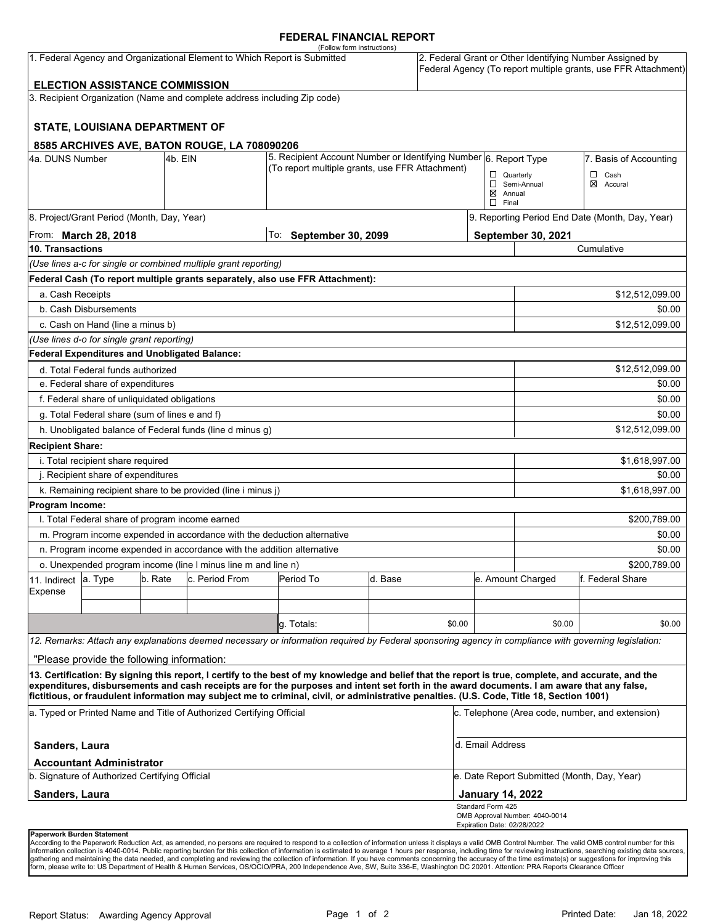### **FEDERAL FINANCIAL REPORT**

|                                                                                                                                                                                                                   |                                                                                                       |  |                                                                          | (Follow form instructions)                                                                                                                           |         |        |                                                 |                                                                                                                            |                        |  |  |
|-------------------------------------------------------------------------------------------------------------------------------------------------------------------------------------------------------------------|-------------------------------------------------------------------------------------------------------|--|--------------------------------------------------------------------------|------------------------------------------------------------------------------------------------------------------------------------------------------|---------|--------|-------------------------------------------------|----------------------------------------------------------------------------------------------------------------------------|------------------------|--|--|
| 1. Federal Agency and Organizational Element to Which Report is Submitted                                                                                                                                         |                                                                                                       |  |                                                                          |                                                                                                                                                      |         |        |                                                 | 2. Federal Grant or Other Identifying Number Assigned by<br>Federal Agency (To report multiple grants, use FFR Attachment) |                        |  |  |
|                                                                                                                                                                                                                   | <b>ELECTION ASSISTANCE COMMISSION</b>                                                                 |  |                                                                          |                                                                                                                                                      |         |        |                                                 |                                                                                                                            |                        |  |  |
|                                                                                                                                                                                                                   |                                                                                                       |  | 3. Recipient Organization (Name and complete address including Zip code) |                                                                                                                                                      |         |        |                                                 |                                                                                                                            |                        |  |  |
|                                                                                                                                                                                                                   | <b>STATE, LOUISIANA DEPARTMENT OF</b>                                                                 |  |                                                                          |                                                                                                                                                      |         |        |                                                 |                                                                                                                            |                        |  |  |
|                                                                                                                                                                                                                   |                                                                                                       |  |                                                                          |                                                                                                                                                      |         |        |                                                 |                                                                                                                            |                        |  |  |
| 8585 ARCHIVES AVE, BATON ROUGE, LA 708090206<br>4a. DUNS Number<br>4b. EIN                                                                                                                                        |                                                                                                       |  |                                                                          | 5. Recipient Account Number or Identifying Number 6. Report Type                                                                                     |         |        |                                                 |                                                                                                                            | 7. Basis of Accounting |  |  |
|                                                                                                                                                                                                                   |                                                                                                       |  |                                                                          | (To report multiple grants, use FFR Attachment)                                                                                                      |         |        |                                                 | $\Box$ Quarterly                                                                                                           | □<br>Cash              |  |  |
|                                                                                                                                                                                                                   |                                                                                                       |  |                                                                          |                                                                                                                                                      |         |        | $\boxtimes$ Annual                              | Semi-Annual                                                                                                                | ⊠<br>Accural           |  |  |
|                                                                                                                                                                                                                   |                                                                                                       |  |                                                                          |                                                                                                                                                      |         |        | $\Box$ Final                                    |                                                                                                                            |                        |  |  |
| 8. Project/Grant Period (Month, Day, Year)                                                                                                                                                                        |                                                                                                       |  |                                                                          |                                                                                                                                                      |         |        |                                                 | 9. Reporting Period End Date (Month, Day, Year)                                                                            |                        |  |  |
| From: <b>March 28, 2018</b><br><b>10. Transactions</b>                                                                                                                                                            |                                                                                                       |  | To: September 30, 2099                                                   |                                                                                                                                                      |         |        | September 30, 2021<br>Cumulative                |                                                                                                                            |                        |  |  |
|                                                                                                                                                                                                                   |                                                                                                       |  |                                                                          |                                                                                                                                                      |         |        |                                                 |                                                                                                                            |                        |  |  |
|                                                                                                                                                                                                                   |                                                                                                       |  | (Use lines a-c for single or combined multiple grant reporting)          |                                                                                                                                                      |         |        |                                                 |                                                                                                                            |                        |  |  |
|                                                                                                                                                                                                                   |                                                                                                       |  |                                                                          | Federal Cash (To report multiple grants separately, also use FFR Attachment):                                                                        |         |        |                                                 |                                                                                                                            |                        |  |  |
| a. Cash Receipts                                                                                                                                                                                                  |                                                                                                       |  |                                                                          |                                                                                                                                                      |         |        |                                                 | \$12,512,099.00                                                                                                            |                        |  |  |
|                                                                                                                                                                                                                   | b. Cash Disbursements                                                                                 |  |                                                                          |                                                                                                                                                      |         |        |                                                 |                                                                                                                            | \$0.00                 |  |  |
|                                                                                                                                                                                                                   | c. Cash on Hand (line a minus b)                                                                      |  |                                                                          |                                                                                                                                                      |         |        |                                                 |                                                                                                                            | \$12,512,099.00        |  |  |
|                                                                                                                                                                                                                   | (Use lines d-o for single grant reporting)<br>Federal Expenditures and Unobligated Balance:           |  |                                                                          |                                                                                                                                                      |         |        |                                                 |                                                                                                                            |                        |  |  |
|                                                                                                                                                                                                                   |                                                                                                       |  |                                                                          |                                                                                                                                                      |         |        |                                                 |                                                                                                                            | \$12,512,099.00        |  |  |
| d. Total Federal funds authorized<br>e. Federal share of expenditures                                                                                                                                             |                                                                                                       |  |                                                                          |                                                                                                                                                      |         |        |                                                 | \$0.00                                                                                                                     |                        |  |  |
|                                                                                                                                                                                                                   | f. Federal share of unliquidated obligations                                                          |  |                                                                          |                                                                                                                                                      |         |        |                                                 |                                                                                                                            | \$0.00                 |  |  |
|                                                                                                                                                                                                                   | g. Total Federal share (sum of lines e and f)                                                         |  |                                                                          |                                                                                                                                                      |         |        |                                                 |                                                                                                                            | \$0.00                 |  |  |
|                                                                                                                                                                                                                   |                                                                                                       |  |                                                                          |                                                                                                                                                      |         |        |                                                 |                                                                                                                            | \$12,512,099.00        |  |  |
|                                                                                                                                                                                                                   |                                                                                                       |  | h. Unobligated balance of Federal funds (line d minus g)                 |                                                                                                                                                      |         |        |                                                 |                                                                                                                            |                        |  |  |
| <b>Recipient Share:</b>                                                                                                                                                                                           |                                                                                                       |  |                                                                          |                                                                                                                                                      |         |        |                                                 |                                                                                                                            |                        |  |  |
| i. Total recipient share required                                                                                                                                                                                 |                                                                                                       |  |                                                                          |                                                                                                                                                      |         |        |                                                 | \$1,618,997.00<br>\$0.00                                                                                                   |                        |  |  |
| j. Recipient share of expenditures<br>k. Remaining recipient share to be provided (line i minus j)                                                                                                                |                                                                                                       |  |                                                                          |                                                                                                                                                      |         |        |                                                 | \$1,618,997.00                                                                                                             |                        |  |  |
| Program Income:                                                                                                                                                                                                   |                                                                                                       |  |                                                                          |                                                                                                                                                      |         |        |                                                 |                                                                                                                            |                        |  |  |
|                                                                                                                                                                                                                   | I. Total Federal share of program income earned                                                       |  |                                                                          |                                                                                                                                                      |         |        |                                                 |                                                                                                                            | \$200,789.00           |  |  |
|                                                                                                                                                                                                                   |                                                                                                       |  |                                                                          | m. Program income expended in accordance with the deduction alternative                                                                              |         |        |                                                 | \$0.00                                                                                                                     |                        |  |  |
|                                                                                                                                                                                                                   |                                                                                                       |  | n. Program income expended in accordance with the addition alternative   |                                                                                                                                                      |         |        |                                                 | \$0.00                                                                                                                     |                        |  |  |
|                                                                                                                                                                                                                   |                                                                                                       |  |                                                                          |                                                                                                                                                      |         |        |                                                 | \$200,789.00                                                                                                               |                        |  |  |
| 11. Indirect                                                                                                                                                                                                      | o. Unexpended program income (line I minus line m and line n)<br>b. Rate<br>c. Period From<br>a. Type |  |                                                                          | Period To                                                                                                                                            | d. Base |        |                                                 | e. Amount Charged<br>f. Federal Share                                                                                      |                        |  |  |
| Expense                                                                                                                                                                                                           |                                                                                                       |  |                                                                          |                                                                                                                                                      |         |        |                                                 |                                                                                                                            |                        |  |  |
|                                                                                                                                                                                                                   |                                                                                                       |  |                                                                          |                                                                                                                                                      |         |        |                                                 |                                                                                                                            |                        |  |  |
|                                                                                                                                                                                                                   |                                                                                                       |  |                                                                          | q. Totals:                                                                                                                                           |         | \$0.00 |                                                 | \$0.00                                                                                                                     | \$0.00                 |  |  |
|                                                                                                                                                                                                                   |                                                                                                       |  |                                                                          | 12. Remarks: Attach any explanations deemed necessary or information required by Federal sponsoring agency in compliance with governing legislation: |         |        |                                                 |                                                                                                                            |                        |  |  |
|                                                                                                                                                                                                                   | "Please provide the following information:                                                            |  |                                                                          |                                                                                                                                                      |         |        |                                                 |                                                                                                                            |                        |  |  |
|                                                                                                                                                                                                                   |                                                                                                       |  |                                                                          | 13. Certification: By signing this report, I certify to the best of my knowledge and belief that the report is true, complete, and accurate, and the |         |        |                                                 |                                                                                                                            |                        |  |  |
|                                                                                                                                                                                                                   |                                                                                                       |  |                                                                          | expenditures, disbursements and cash receipts are for the purposes and intent set forth in the award documents. I am aware that any false,           |         |        |                                                 |                                                                                                                            |                        |  |  |
| fictitious, or fraudulent information may subject me to criminal, civil, or administrative penalties. (U.S. Code, Title 18, Section 1001)<br>a. Typed or Printed Name and Title of Authorized Certifying Official |                                                                                                       |  |                                                                          |                                                                                                                                                      |         |        | c. Telephone (Area code, number, and extension) |                                                                                                                            |                        |  |  |
| Sanders, Laura                                                                                                                                                                                                    |                                                                                                       |  |                                                                          |                                                                                                                                                      |         |        | d. Email Address                                |                                                                                                                            |                        |  |  |
|                                                                                                                                                                                                                   | <b>Accountant Administrator</b>                                                                       |  |                                                                          |                                                                                                                                                      |         |        |                                                 |                                                                                                                            |                        |  |  |
|                                                                                                                                                                                                                   | b. Signature of Authorized Certifying Official                                                        |  |                                                                          |                                                                                                                                                      |         |        |                                                 | e. Date Report Submitted (Month, Day, Year)                                                                                |                        |  |  |
| Sanders, Laura                                                                                                                                                                                                    |                                                                                                       |  |                                                                          |                                                                                                                                                      |         |        | <b>January 14, 2022</b>                         |                                                                                                                            |                        |  |  |
|                                                                                                                                                                                                                   |                                                                                                       |  |                                                                          |                                                                                                                                                      |         |        | Standard Form 425                               | OMB Approval Number: 4040-0014                                                                                             |                        |  |  |
|                                                                                                                                                                                                                   | Paperwork Burden Statement                                                                            |  |                                                                          |                                                                                                                                                      |         |        | Expiration Date: 02/28/2022                     |                                                                                                                            |                        |  |  |

According to the Paperwork Reduction Act, as amended, no persons are required to respond to a collection of information unless it displays a valid OMB Control Number. The valid OMB control number for this<br>information colle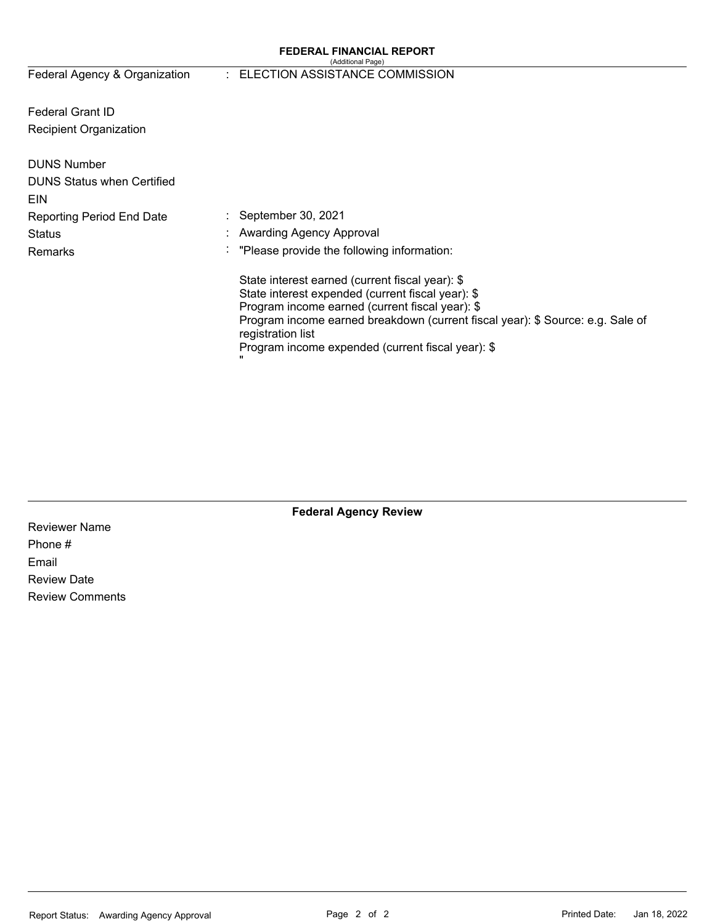#### **FEDERAL FINANCIAL REPORT**  (Additional Page)

Federal Agency & Organization

### : ELECTION ASSISTANCE COMMISSION

Federal Grant ID Recipient Organization

| <b>DUNS Number</b><br><b>DUNS Status when Certified</b><br>EIN |                                                                                                                                                                                                                                                                                                                     |
|----------------------------------------------------------------|---------------------------------------------------------------------------------------------------------------------------------------------------------------------------------------------------------------------------------------------------------------------------------------------------------------------|
| <b>Reporting Period End Date</b>                               | $\therefore$ September 30, 2021                                                                                                                                                                                                                                                                                     |
| Status                                                         | : Awarding Agency Approval                                                                                                                                                                                                                                                                                          |
| Remarks                                                        | : "Please provide the following information:                                                                                                                                                                                                                                                                        |
|                                                                | State interest earned (current fiscal year): \$<br>State interest expended (current fiscal year): \$<br>Program income earned (current fiscal year): \$<br>Program income earned breakdown (current fiscal year): \$ Source: e.g. Sale of<br>registration list<br>Program income expended (current fiscal year): \$ |

# **Federal Agency Review**

Reviewer Name Phone # Email Review Date Review Comments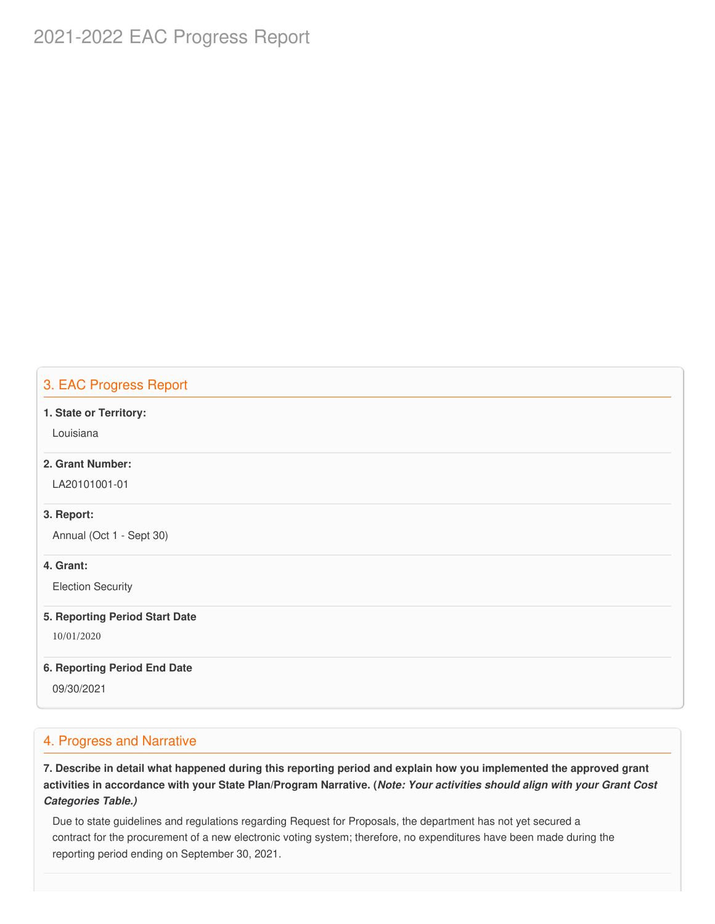# 2021-2022 EAC Progress Report

# 3. EAC Progress Report

#### **1. State or Territory:**

Louisiana

## **2. Grant Number:**

LA20101001-01

### **3. Report:**

Annual (Oct 1 - Sept 30)

### **4. Grant:**

Election Security

#### **5. Reporting Period Start Date**

10/01/2020

#### **6. Reporting Period End Date**

09/30/2021

# 4. Progress and Narrative

7. Describe in detail what happened during this reporting period and explain how you implemented the approved grant activities in accordance with your State Plan/Program Narrative. (*Note: Your activities should align with your Grant Cost Categories Table.)*

 Due to state guidelines and regulations regarding Request for Proposals, the department has not yet secured a contract for the procurement of a new electronic voting system; therefore, no expenditures have been made during the reporting period ending on September 30, 2021.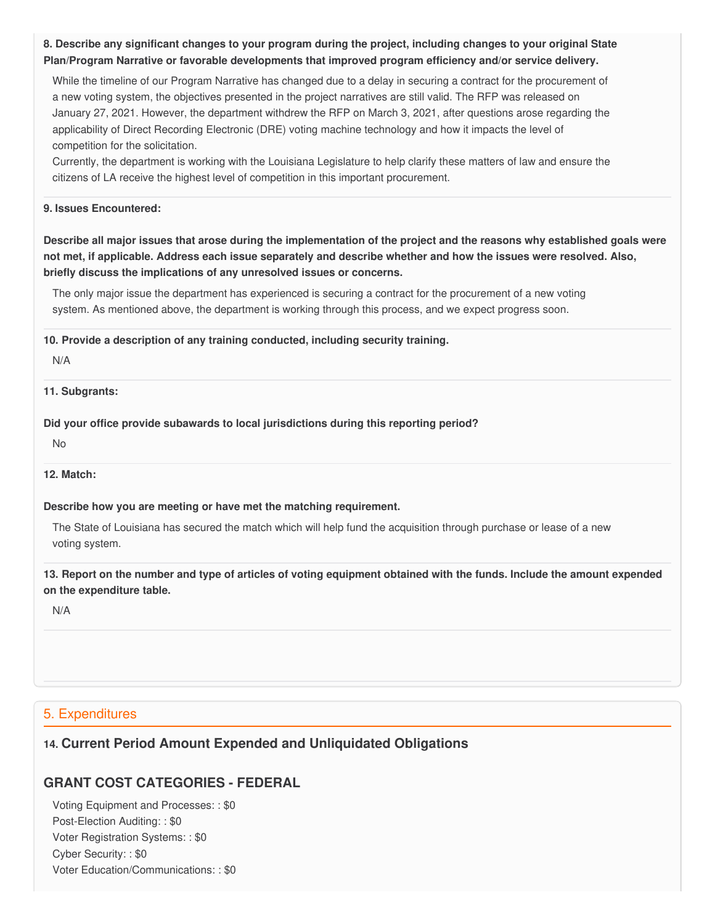8. Describe any significant changes to your program during the project, including changes to your original State  **Plan/Program Narrative or favorable developments that improved program efficiency and/or service delivery.**

 While the timeline of our Program Narrative has changed due to a delay in securing a contract for the procurement of a new voting system, the objectives presented in the project narratives are still valid. The RFP was released on January 27, 2021. However, the department withdrew the RFP on March 3, 2021, after questions arose regarding the applicability of Direct Recording Electronic (DRE) voting machine technology and how it impacts the level of competition for the solicitation.

 Currently, the department is working with the Louisiana Legislature to help clarify these matters of law and ensure the citizens of LA receive the highest level of competition in this important procurement.

### **9. Issues Encountered:**

Describe all major issues that arose during the implementation of the project and the reasons why established goals were not met, if applicable. Address each issue separately and describe whether and how the issues were resolved. Also,  **briefly discuss the implications of any unresolved issues or concerns.**

 The only major issue the department has experienced is securing a contract for the procurement of a new voting system. As mentioned above, the department is working through this process, and we expect progress soon.

 **10. Provide a description of any training conducted, including security training.**

N/A

**11. Subgrants:**

 **Did your office provide subawards to local jurisdictions during this reporting period?**

No

#### **12. Match:**

#### **Describe how you are meeting or have met the matching requirement.**

 The State of Louisiana has secured the match which will help fund the acquisition through purchase or lease of a new voting system.

13. Report on the number and type of articles of voting equipment obtained with the funds. Include the amount expended  **on the expenditure table.**

N/A

## 5. Expenditures

# **14. Current Period Amount Expended and Unliquidated Obligations**

# **GRANT COST CATEGORIES - FEDERAL**

 Voting Equipment and Processes: : \$0 Post-Election Auditing: : \$0 Voter Registration Systems: : \$0 Cyber Security: : \$0 Voter Education/Communications: : \$0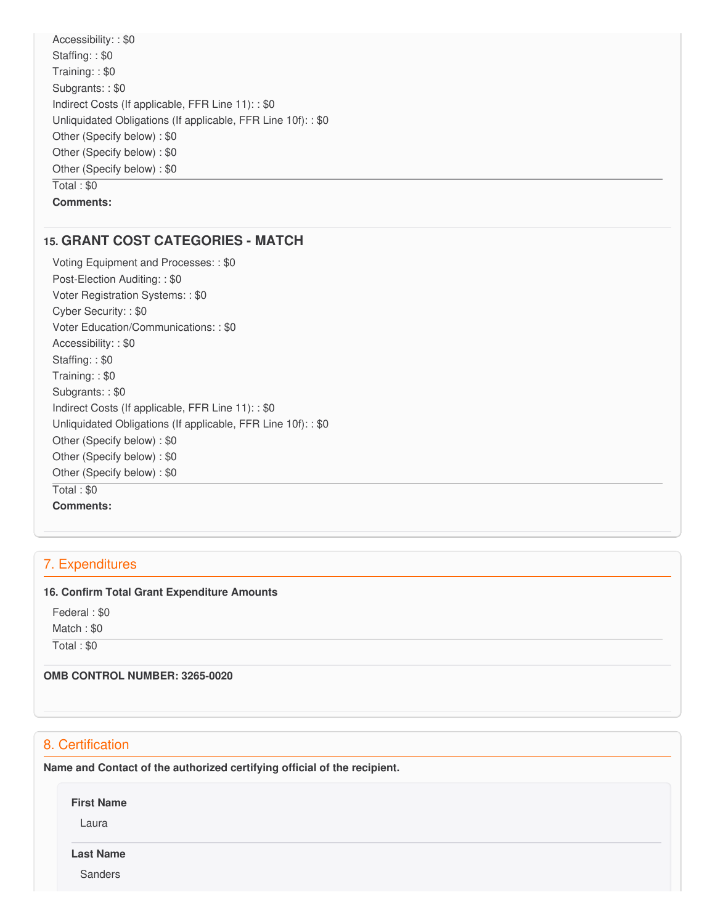Accessibility: : \$0 Staffing: : \$0 Training: : \$0 Subgrants: : \$0 Indirect Costs (If applicable, FFR Line 11): : \$0 Unliquidated Obligations (If applicable, FFR Line 10f): : \$0 Other (Specify below) : \$0 Other (Specify below) : \$0 Other (Specify below) : \$0 Total : \$0 **Comments:**

# **15. GRANT COST CATEGORIES - MATCH**

 Voting Equipment and Processes: : \$0 Post-Election Auditing: : \$0 Voter Registration Systems: : \$0 Cyber Security: : \$0 Voter Education/Communications: : \$0 Accessibility: : \$0 Staffing: : \$0 Training: : \$0 Subgrants: : \$0 Indirect Costs (If applicable, FFR Line 11): : \$0 Unliquidated Obligations (If applicable, FFR Line 10f): : \$0 Other (Specify below) : \$0 Other (Specify below) : \$0 Other (Specify below) : \$0 Total : \$0 **Comments:**

# 7. Expenditures

### **16. Confirm Total Grant Expenditure Amounts**

Federal : \$0

Match : \$0

Total : \$0

 **OMB CONTROL NUMBER: 3265-0020**

# 8. Certification

 **Name and Contact of the authorized certifying official of the recipient.**

**First Name**

Laura

**Last Name**

Sanders